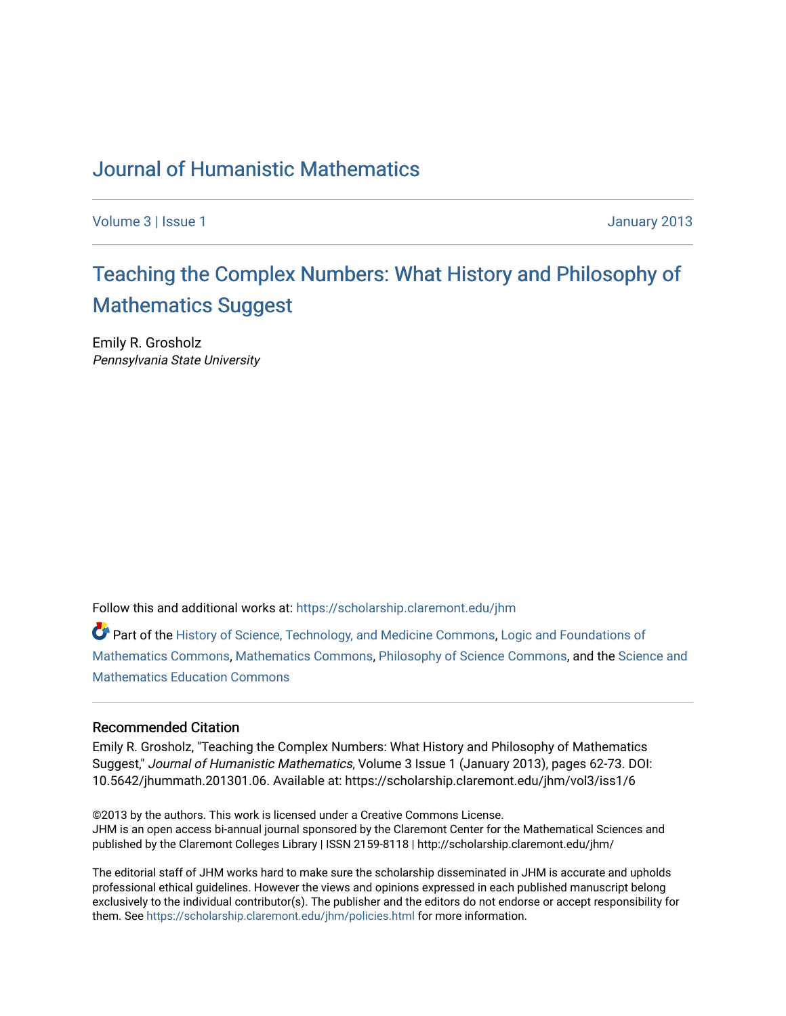## [Journal of Humanistic Mathematics](https://scholarship.claremont.edu/jhm)

[Volume 3](https://scholarship.claremont.edu/jhm/vol3) | [Issue 1](https://scholarship.claremont.edu/jhm/vol3/iss1) January 2013

# [Teaching the Complex Numbers: What History and Philosophy of](https://scholarship.claremont.edu/jhm/vol3/iss1/6)  [Mathematics Suggest](https://scholarship.claremont.edu/jhm/vol3/iss1/6)

Emily R. Grosholz Pennsylvania State University

Follow this and additional works at: [https://scholarship.claremont.edu/jhm](https://scholarship.claremont.edu/jhm?utm_source=scholarship.claremont.edu%2Fjhm%2Fvol3%2Fiss1%2F6&utm_medium=PDF&utm_campaign=PDFCoverPages)

Part of the [History of Science, Technology, and Medicine Commons,](http://network.bepress.com/hgg/discipline/500?utm_source=scholarship.claremont.edu%2Fjhm%2Fvol3%2Fiss1%2F6&utm_medium=PDF&utm_campaign=PDFCoverPages) [Logic and Foundations of](http://network.bepress.com/hgg/discipline/532?utm_source=scholarship.claremont.edu%2Fjhm%2Fvol3%2Fiss1%2F6&utm_medium=PDF&utm_campaign=PDFCoverPages) [Mathematics Commons](http://network.bepress.com/hgg/discipline/532?utm_source=scholarship.claremont.edu%2Fjhm%2Fvol3%2Fiss1%2F6&utm_medium=PDF&utm_campaign=PDFCoverPages), [Mathematics Commons,](http://network.bepress.com/hgg/discipline/174?utm_source=scholarship.claremont.edu%2Fjhm%2Fvol3%2Fiss1%2F6&utm_medium=PDF&utm_campaign=PDFCoverPages) [Philosophy of Science Commons,](http://network.bepress.com/hgg/discipline/536?utm_source=scholarship.claremont.edu%2Fjhm%2Fvol3%2Fiss1%2F6&utm_medium=PDF&utm_campaign=PDFCoverPages) and the [Science and](http://network.bepress.com/hgg/discipline/800?utm_source=scholarship.claremont.edu%2Fjhm%2Fvol3%2Fiss1%2F6&utm_medium=PDF&utm_campaign=PDFCoverPages)  [Mathematics Education Commons](http://network.bepress.com/hgg/discipline/800?utm_source=scholarship.claremont.edu%2Fjhm%2Fvol3%2Fiss1%2F6&utm_medium=PDF&utm_campaign=PDFCoverPages) 

## Recommended Citation

Emily R. Grosholz, "Teaching the Complex Numbers: What History and Philosophy of Mathematics Suggest," Journal of Humanistic Mathematics, Volume 3 Issue 1 (January 2013), pages 62-73. DOI: 10.5642/jhummath.201301.06. Available at: https://scholarship.claremont.edu/jhm/vol3/iss1/6

©2013 by the authors. This work is licensed under a Creative Commons License. JHM is an open access bi-annual journal sponsored by the Claremont Center for the Mathematical Sciences and published by the Claremont Colleges Library | ISSN 2159-8118 | http://scholarship.claremont.edu/jhm/

The editorial staff of JHM works hard to make sure the scholarship disseminated in JHM is accurate and upholds professional ethical guidelines. However the views and opinions expressed in each published manuscript belong exclusively to the individual contributor(s). The publisher and the editors do not endorse or accept responsibility for them. See<https://scholarship.claremont.edu/jhm/policies.html> for more information.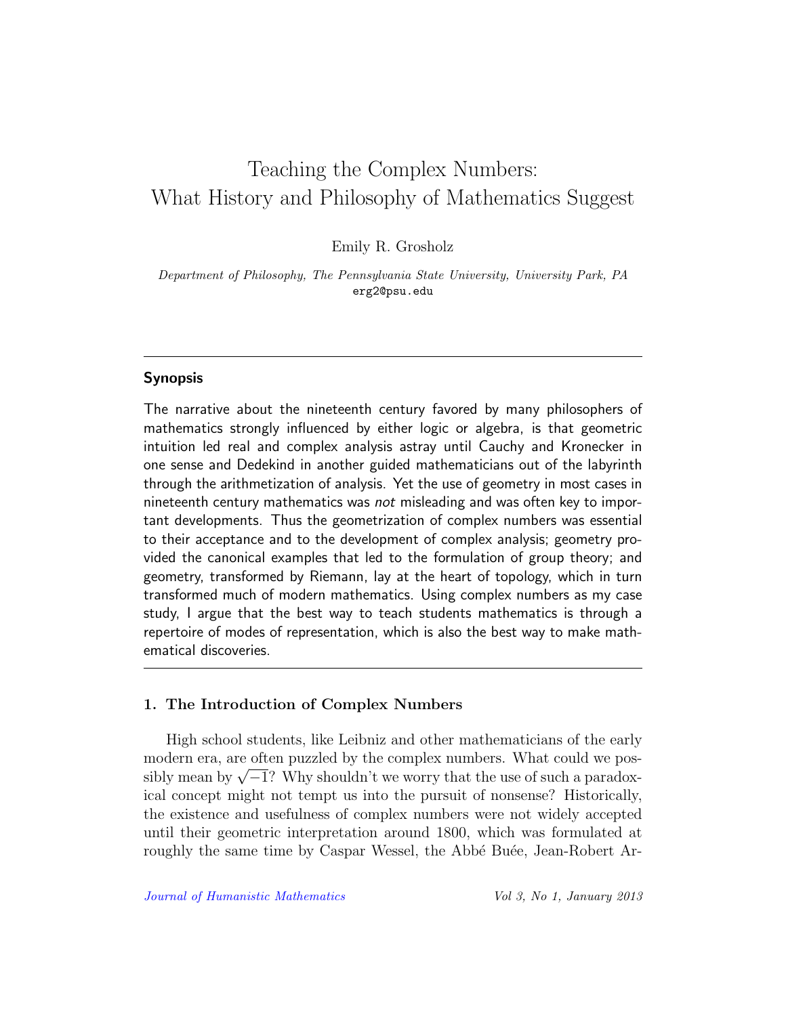## Teaching the Complex Numbers: What History and Philosophy of Mathematics Suggest

Emily R. Grosholz

Department of Philosophy, The Pennsylvania State University, University Park, PA erg2@psu.edu

## Synopsis

The narrative about the nineteenth century favored by many philosophers of mathematics strongly influenced by either logic or algebra, is that geometric intuition led real and complex analysis astray until Cauchy and Kronecker in one sense and Dedekind in another guided mathematicians out of the labyrinth through the arithmetization of analysis. Yet the use of geometry in most cases in nineteenth century mathematics was not misleading and was often key to important developments. Thus the geometrization of complex numbers was essential to their acceptance and to the development of complex analysis; geometry provided the canonical examples that led to the formulation of group theory; and geometry, transformed by Riemann, lay at the heart of topology, which in turn transformed much of modern mathematics. Using complex numbers as my case study, I argue that the best way to teach students mathematics is through a repertoire of modes of representation, which is also the best way to make mathematical discoveries.

## 1. The Introduction of Complex Numbers

High school students, like Leibniz and other mathematicians of the early modern era, are often puzzled by the complex numbers. What could we posmodern era, are often puzzled by the complex numbers. What could we possibly mean by  $\sqrt{-1}$ ? Why shouldn't we worry that the use of such a paradoxical concept might not tempt us into the pursuit of nonsense? Historically, the existence and usefulness of complex numbers were not widely accepted until their geometric interpretation around 1800, which was formulated at roughly the same time by Caspar Wessel, the Abbé Buée, Jean-Robert Ar-

[Journal of Humanistic Mathematics](http://scholarship.claremont.edu/jhm/) Vol 3, No 1, January 2013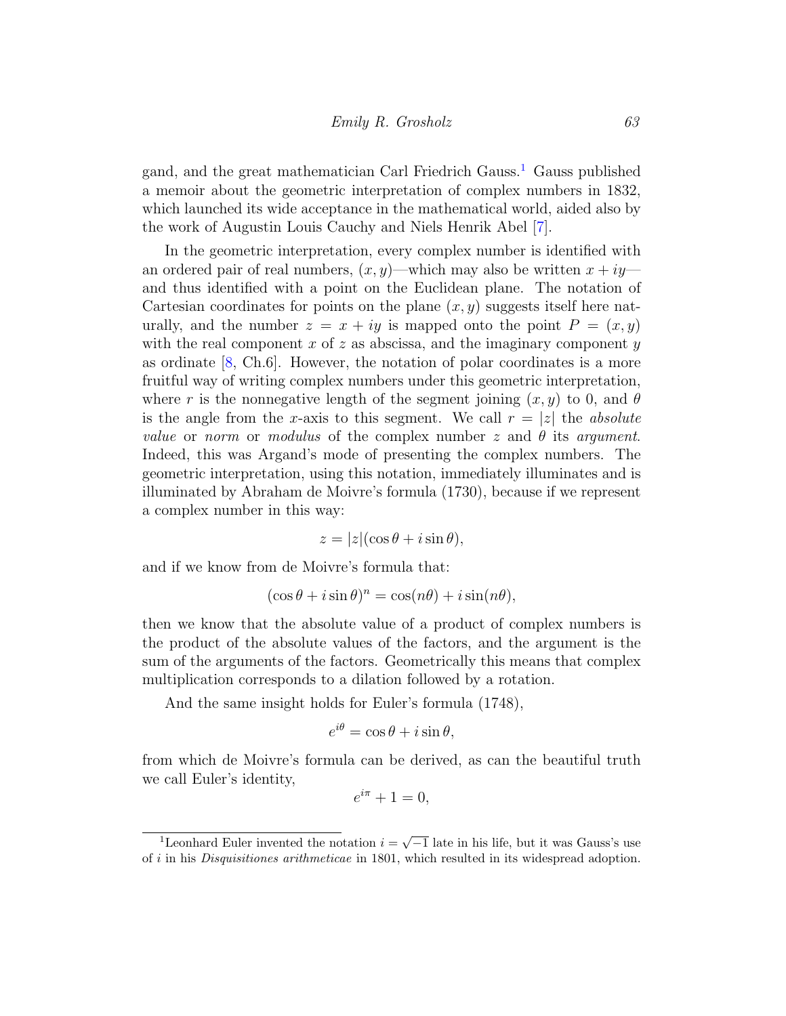gand, and the great mathematician Carl Friedrich Gauss.[1](#page-2-0) Gauss published a memoir about the geometric interpretation of complex numbers in 1832, which launched its wide acceptance in the mathematical world, aided also by the work of Augustin Louis Cauchy and Niels Henrik Abel [\[7\]](#page-11-0).

In the geometric interpretation, every complex number is identified with an ordered pair of real numbers,  $(x, y)$ —which may also be written  $x + iy$  and thus identified with a point on the Euclidean plane. The notation of Cartesian coordinates for points on the plane  $(x, y)$  suggests itself here naturally, and the number  $z = x + iy$  is mapped onto the point  $P = (x, y)$ with the real component x of z as abscissa, and the imaginary component  $y$ as ordinate [\[8,](#page-11-1) Ch.6]. However, the notation of polar coordinates is a more fruitful way of writing complex numbers under this geometric interpretation, where r is the nonnegative length of the segment joining  $(x, y)$  to 0, and  $\theta$ is the angle from the x-axis to this segment. We call  $r = |z|$  the absolute value or norm or modulus of the complex number z and  $\theta$  its argument. Indeed, this was Argand's mode of presenting the complex numbers. The geometric interpretation, using this notation, immediately illuminates and is illuminated by Abraham de Moivre's formula (1730), because if we represent a complex number in this way:

$$
z = |z|(\cos\theta + i\sin\theta),
$$

and if we know from de Moivre's formula that:

$$
(\cos \theta + i \sin \theta)^n = \cos(n\theta) + i \sin(n\theta),
$$

then we know that the absolute value of a product of complex numbers is the product of the absolute values of the factors, and the argument is the sum of the arguments of the factors. Geometrically this means that complex multiplication corresponds to a dilation followed by a rotation.

And the same insight holds for Euler's formula (1748),

$$
e^{i\theta} = \cos\theta + i\sin\theta,
$$

from which de Moivre's formula can be derived, as can the beautiful truth we call Euler's identity,

$$
e^{i\pi} + 1 = 0,
$$

<span id="page-2-0"></span> $\overline{1}$ Leonhard Euler invented the notation  $i = \sqrt{-1}$  late in his life, but it was Gauss's use of i in his Disquisitiones arithmeticae in 1801, which resulted in its widespread adoption.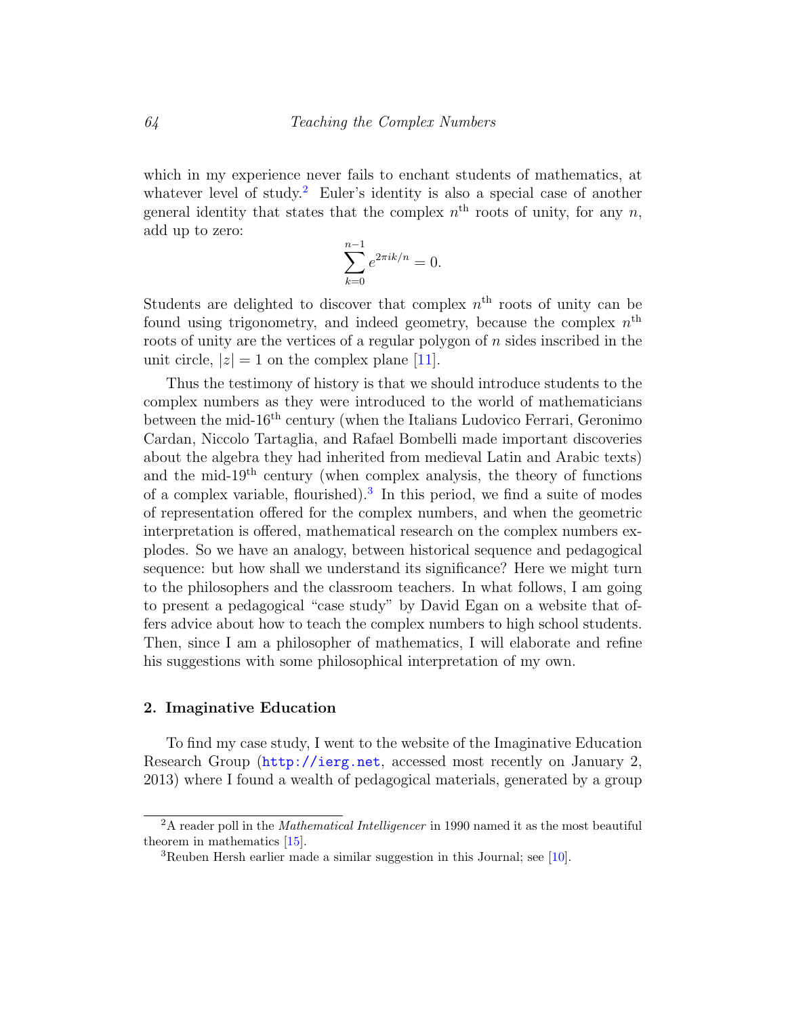which in my experience never fails to enchant students of mathematics, at whatever level of study.<sup>[2](#page-3-0)</sup> Euler's identity is also a special case of another general identity that states that the complex  $n<sup>th</sup>$  roots of unity, for any  $n$ , add up to zero:

$$
\sum_{k=0}^{n-1} e^{2\pi i k/n} = 0.
$$

Students are delighted to discover that complex  $n<sup>th</sup>$  roots of unity can be found using trigonometry, and indeed geometry, because the complex  $n<sup>th</sup>$ roots of unity are the vertices of a regular polygon of n sides inscribed in the unit circle,  $|z|=1$  on the complex plane [\[11\]](#page-12-0).

Thus the testimony of history is that we should introduce students to the complex numbers as they were introduced to the world of mathematicians between the mid- $16<sup>th</sup>$  century (when the Italians Ludovico Ferrari, Geronimo Cardan, Niccolo Tartaglia, and Rafael Bombelli made important discoveries about the algebra they had inherited from medieval Latin and Arabic texts) and the mid- $19<sup>th</sup>$  century (when complex analysis, the theory of functions of a complex variable, flourished).<sup>[3](#page-3-1)</sup> In this period, we find a suite of modes of representation offered for the complex numbers, and when the geometric interpretation is offered, mathematical research on the complex numbers explodes. So we have an analogy, between historical sequence and pedagogical sequence: but how shall we understand its significance? Here we might turn to the philosophers and the classroom teachers. In what follows, I am going to present a pedagogical "case study" by David Egan on a website that offers advice about how to teach the complex numbers to high school students. Then, since I am a philosopher of mathematics, I will elaborate and refine his suggestions with some philosophical interpretation of my own.

## 2. Imaginative Education

To find my case study, I went to the website of the Imaginative Education Research Group (<http://ierg.net>, accessed most recently on January 2, 2013) where I found a wealth of pedagogical materials, generated by a group

<span id="page-3-0"></span> $2A$  reader poll in the *Mathematical Intelligencer* in 1990 named it as the most beautiful theorem in mathematics [\[15\]](#page-12-1).

<span id="page-3-1"></span><sup>3</sup>Reuben Hersh earlier made a similar suggestion in this Journal; see [\[10\]](#page-12-2).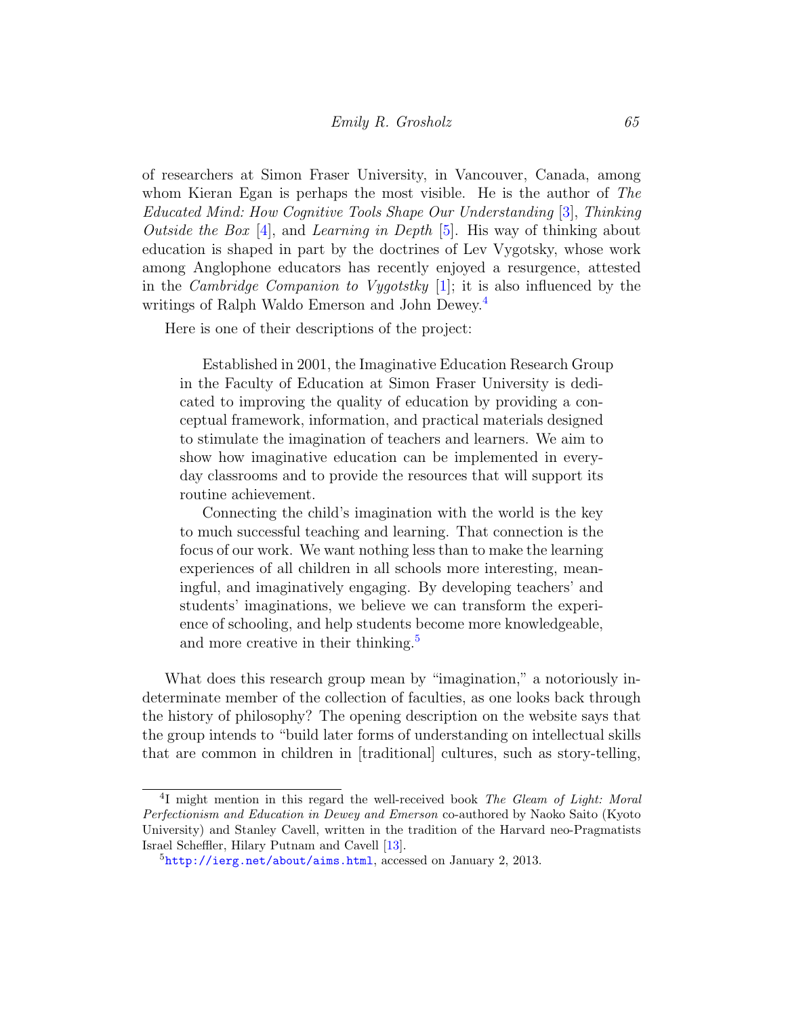of researchers at Simon Fraser University, in Vancouver, Canada, among whom Kieran Egan is perhaps the most visible. He is the author of The Educated Mind: How Cognitive Tools Shape Our Understanding [\[3\]](#page-11-2), Thinking Outside the Box [\[4\]](#page-11-3), and Learning in Depth [\[5\]](#page-11-4). His way of thinking about education is shaped in part by the doctrines of Lev Vygotsky, whose work among Anglophone educators has recently enjoyed a resurgence, attested in the *Cambridge Companion to Vygotstky* [\[1\]](#page-11-5); it is also influenced by the writings of Ralph Waldo Emerson and John Dewey.<sup>[4](#page-4-0)</sup>

Here is one of their descriptions of the project:

Established in 2001, the Imaginative Education Research Group in the Faculty of Education at Simon Fraser University is dedicated to improving the quality of education by providing a conceptual framework, information, and practical materials designed to stimulate the imagination of teachers and learners. We aim to show how imaginative education can be implemented in everyday classrooms and to provide the resources that will support its routine achievement.

Connecting the child's imagination with the world is the key to much successful teaching and learning. That connection is the focus of our work. We want nothing less than to make the learning experiences of all children in all schools more interesting, meaningful, and imaginatively engaging. By developing teachers' and students' imaginations, we believe we can transform the experience of schooling, and help students become more knowledgeable, and more creative in their thinking.<sup>[5](#page-4-1)</sup>

What does this research group mean by "imagination," a notoriously indeterminate member of the collection of faculties, as one looks back through the history of philosophy? The opening description on the website says that the group intends to "build later forms of understanding on intellectual skills that are common in children in [traditional] cultures, such as story-telling,

<span id="page-4-0"></span><sup>&</sup>lt;sup>4</sup>I might mention in this regard the well-received book The Gleam of Light: Moral Perfectionism and Education in Dewey and Emerson co-authored by Naoko Saito (Kyoto University) and Stanley Cavell, written in the tradition of the Harvard neo-Pragmatists Israel Scheffler, Hilary Putnam and Cavell [\[13\]](#page-12-3).

<span id="page-4-1"></span> $5$ <http://ierg.net/about/aims.html>, accessed on January 2, 2013.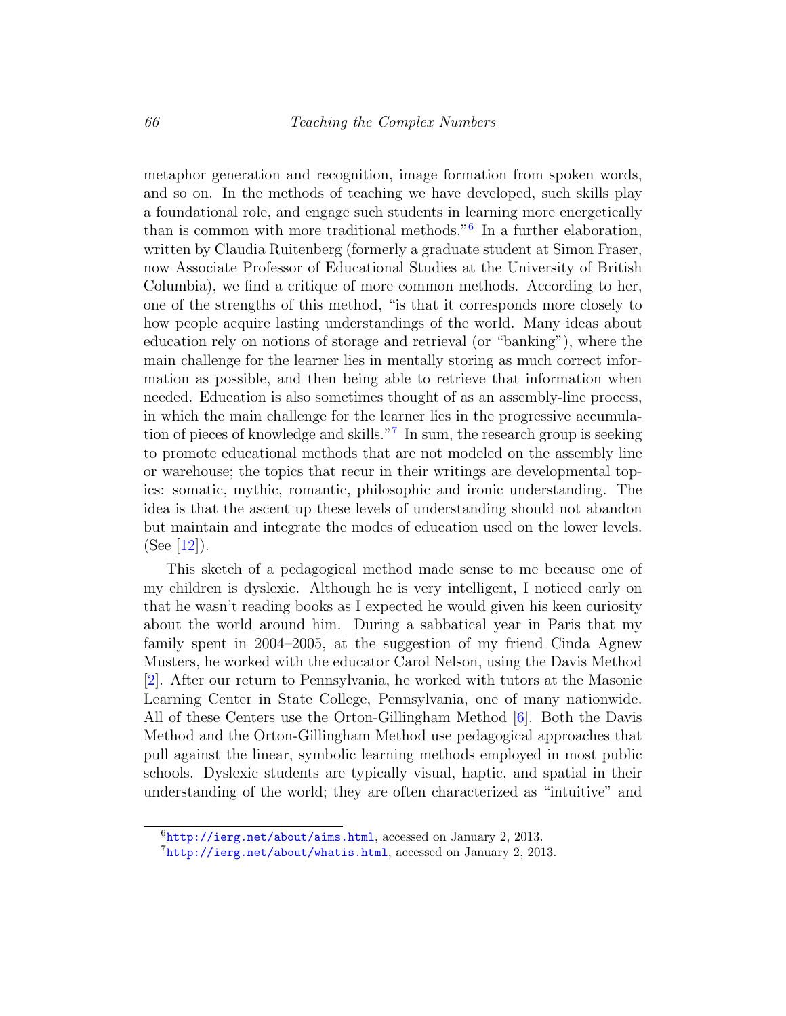metaphor generation and recognition, image formation from spoken words, and so on. In the methods of teaching we have developed, such skills play a foundational role, and engage such students in learning more energetically than is common with more traditional methods."[6](#page-5-0) In a further elaboration, written by Claudia Ruitenberg (formerly a graduate student at Simon Fraser, now Associate Professor of Educational Studies at the University of British Columbia), we find a critique of more common methods. According to her, one of the strengths of this method, "is that it corresponds more closely to how people acquire lasting understandings of the world. Many ideas about education rely on notions of storage and retrieval (or "banking"), where the main challenge for the learner lies in mentally storing as much correct information as possible, and then being able to retrieve that information when needed. Education is also sometimes thought of as an assembly-line process, in which the main challenge for the learner lies in the progressive accumulation of pieces of knowledge and skills."[7](#page-5-1) In sum, the research group is seeking to promote educational methods that are not modeled on the assembly line or warehouse; the topics that recur in their writings are developmental topics: somatic, mythic, romantic, philosophic and ironic understanding. The idea is that the ascent up these levels of understanding should not abandon but maintain and integrate the modes of education used on the lower levels. (See  $|12|$ ).

This sketch of a pedagogical method made sense to me because one of my children is dyslexic. Although he is very intelligent, I noticed early on that he wasn't reading books as I expected he would given his keen curiosity about the world around him. During a sabbatical year in Paris that my family spent in 2004–2005, at the suggestion of my friend Cinda Agnew Musters, he worked with the educator Carol Nelson, using the Davis Method [\[2\]](#page-11-6). After our return to Pennsylvania, he worked with tutors at the Masonic Learning Center in State College, Pennsylvania, one of many nationwide. All of these Centers use the Orton-Gillingham Method [\[6\]](#page-11-7). Both the Davis Method and the Orton-Gillingham Method use pedagogical approaches that pull against the linear, symbolic learning methods employed in most public schools. Dyslexic students are typically visual, haptic, and spatial in their understanding of the world; they are often characterized as "intuitive" and

<span id="page-5-0"></span> $6$ <http://ierg.net/about/aims.html>, accessed on January 2, 2013.

<span id="page-5-1"></span> $7$ <http://ierg.net/about/whatis.html>, accessed on January 2, 2013.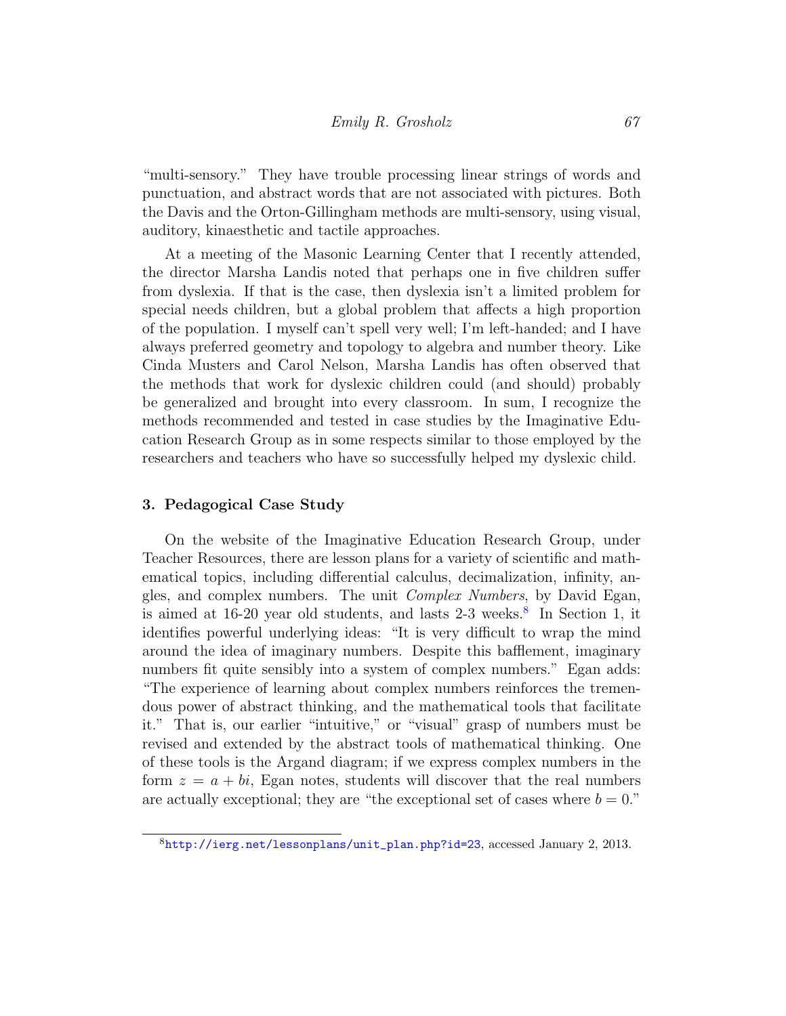"multi-sensory." They have trouble processing linear strings of words and punctuation, and abstract words that are not associated with pictures. Both the Davis and the Orton-Gillingham methods are multi-sensory, using visual, auditory, kinaesthetic and tactile approaches.

At a meeting of the Masonic Learning Center that I recently attended, the director Marsha Landis noted that perhaps one in five children suffer from dyslexia. If that is the case, then dyslexia isn't a limited problem for special needs children, but a global problem that affects a high proportion of the population. I myself can't spell very well; I'm left-handed; and I have always preferred geometry and topology to algebra and number theory. Like Cinda Musters and Carol Nelson, Marsha Landis has often observed that the methods that work for dyslexic children could (and should) probably be generalized and brought into every classroom. In sum, I recognize the methods recommended and tested in case studies by the Imaginative Education Research Group as in some respects similar to those employed by the researchers and teachers who have so successfully helped my dyslexic child.

## 3. Pedagogical Case Study

On the website of the Imaginative Education Research Group, under Teacher Resources, there are lesson plans for a variety of scientific and mathematical topics, including differential calculus, decimalization, infinity, angles, and complex numbers. The unit Complex Numbers, by David Egan, is aimed at  $16-20$  year old students, and lasts  $2-3$  weeks.<sup>[8](#page-6-0)</sup> In Section 1, it identifies powerful underlying ideas: "It is very difficult to wrap the mind around the idea of imaginary numbers. Despite this bafflement, imaginary numbers fit quite sensibly into a system of complex numbers." Egan adds: "The experience of learning about complex numbers reinforces the tremendous power of abstract thinking, and the mathematical tools that facilitate it." That is, our earlier "intuitive," or "visual" grasp of numbers must be revised and extended by the abstract tools of mathematical thinking. One of these tools is the Argand diagram; if we express complex numbers in the form  $z = a + bi$ , Egan notes, students will discover that the real numbers are actually exceptional; they are "the exceptional set of cases where  $b = 0$ ."

<span id="page-6-0"></span><sup>8</sup>[http://ierg.net/lessonplans/unit\\_plan.php?id=23](http://ierg.net/lessonplans/unit_plan.php?id=23), accessed January 2, 2013.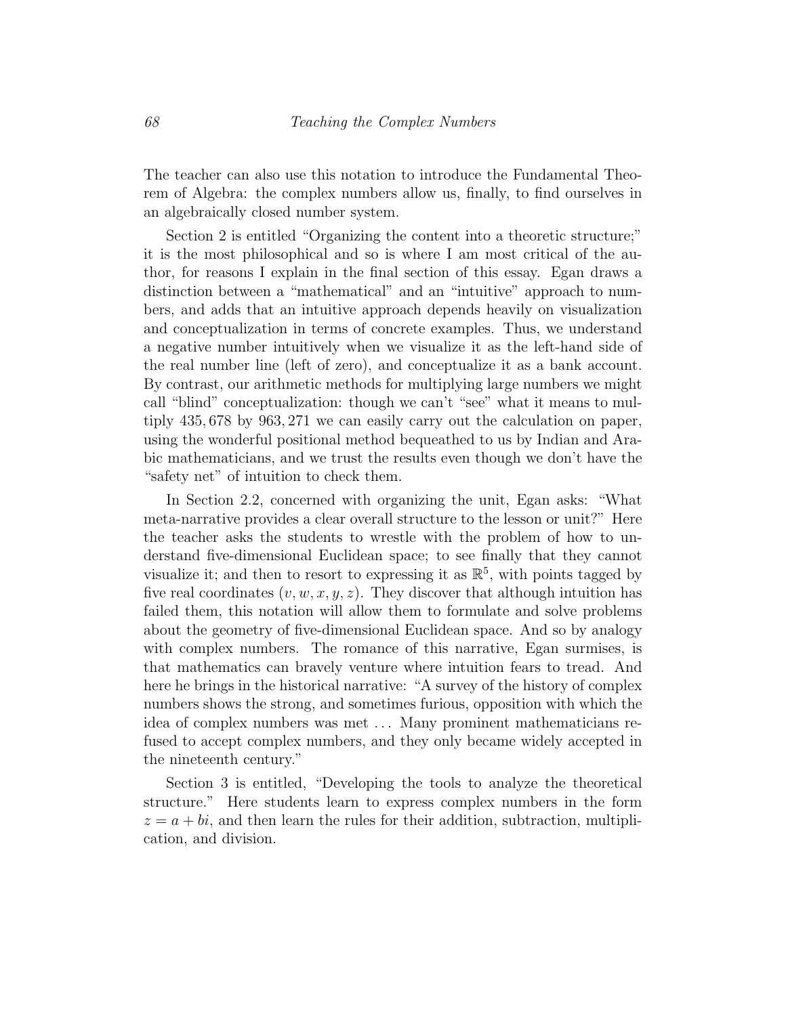The teacher can also use this notation to introduce the Fundamental Theorem of Algebra: the complex numbers allow us, finally, to find ourselves in an algebraically closed number system.

Section 2 is entitled "Organizing the content into a theoretic structure;" it is the most philosophical and so is where I am most critical of the author, for reasons I explain in the final section of this essay. Egan draws a distinction between a "mathematical" and an "intuitive" approach to numbers, and adds that an intuitive approach depends heavily on visualization and conceptualization in terms of concrete examples. Thus, we understand a negative number intuitively when we visualize it as the left-hand side of the real number line (left of zero), and conceptualize it as a bank account. By contrast, our arithmetic methods for multiplying large numbers we might call "blind" conceptualization: though we can't "see" what it means to multiply 435, 678 by 963, 271 we can easily carry out the calculation on paper, using the wonderful positional method bequeathed to us by Indian and Arabic mathematicians, and we trust the results even though we don't have the "safety net" of intuition to check them.

In Section 2.2, concerned with organizing the unit, Egan asks: "What meta-narrative provides a clear overall structure to the lesson or unit?" Here the teacher asks the students to wrestle with the problem of how to understand five-dimensional Euclidean space; to see finally that they cannot visualize it; and then to resort to expressing it as  $\mathbb{R}^5$ , with points tagged by five real coordinates  $(v, w, x, y, z)$ . They discover that although intuition has failed them, this notation will allow them to formulate and solve problems about the geometry of five-dimensional Euclidean space. And so by analogy with complex numbers. The romance of this narrative, Egan surmises, is that mathematics can bravely venture where intuition fears to tread. And here he brings in the historical narrative: "A survey of the history of complex numbers shows the strong, and sometimes furious, opposition with which the idea of complex numbers was met . . . Many prominent mathematicians refused to accept complex numbers, and they only became widely accepted in the nineteenth century."

Section 3 is entitled, "Developing the tools to analyze the theoretical structure." Here students learn to express complex numbers in the form  $z = a + bi$ , and then learn the rules for their addition, subtraction, multiplication, and division.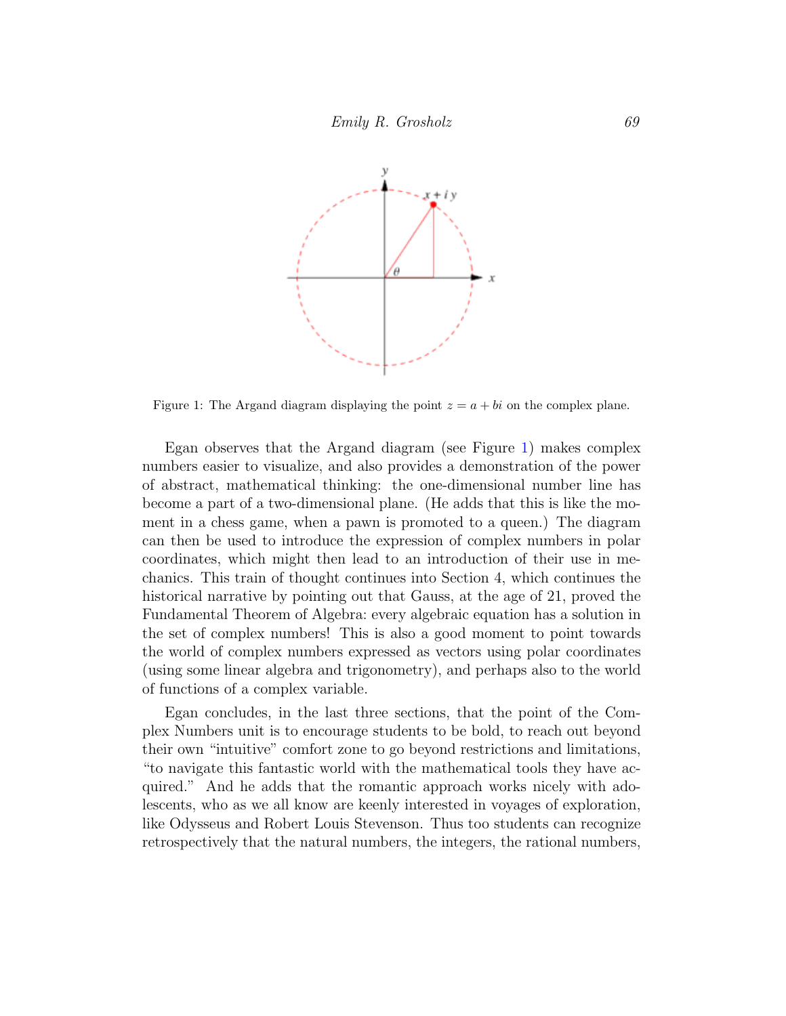

<span id="page-8-0"></span>Figure 1: The Argand diagram displaying the point  $z = a + bi$  on the complex plane.

Egan observes that the Argand diagram (see Figure [1\)](#page-8-0) makes complex numbers easier to visualize, and also provides a demonstration of the power of abstract, mathematical thinking: the one-dimensional number line has become a part of a two-dimensional plane. (He adds that this is like the moment in a chess game, when a pawn is promoted to a queen.) The diagram can then be used to introduce the expression of complex numbers in polar coordinates, which might then lead to an introduction of their use in mechanics. This train of thought continues into Section 4, which continues the historical narrative by pointing out that Gauss, at the age of 21, proved the Fundamental Theorem of Algebra: every algebraic equation has a solution in the set of complex numbers! This is also a good moment to point towards the world of complex numbers expressed as vectors using polar coordinates (using some linear algebra and trigonometry), and perhaps also to the world of functions of a complex variable.

Egan concludes, in the last three sections, that the point of the Complex Numbers unit is to encourage students to be bold, to reach out beyond their own "intuitive" comfort zone to go beyond restrictions and limitations, "to navigate this fantastic world with the mathematical tools they have acquired." And he adds that the romantic approach works nicely with adolescents, who as we all know are keenly interested in voyages of exploration, like Odysseus and Robert Louis Stevenson. Thus too students can recognize retrospectively that the natural numbers, the integers, the rational numbers,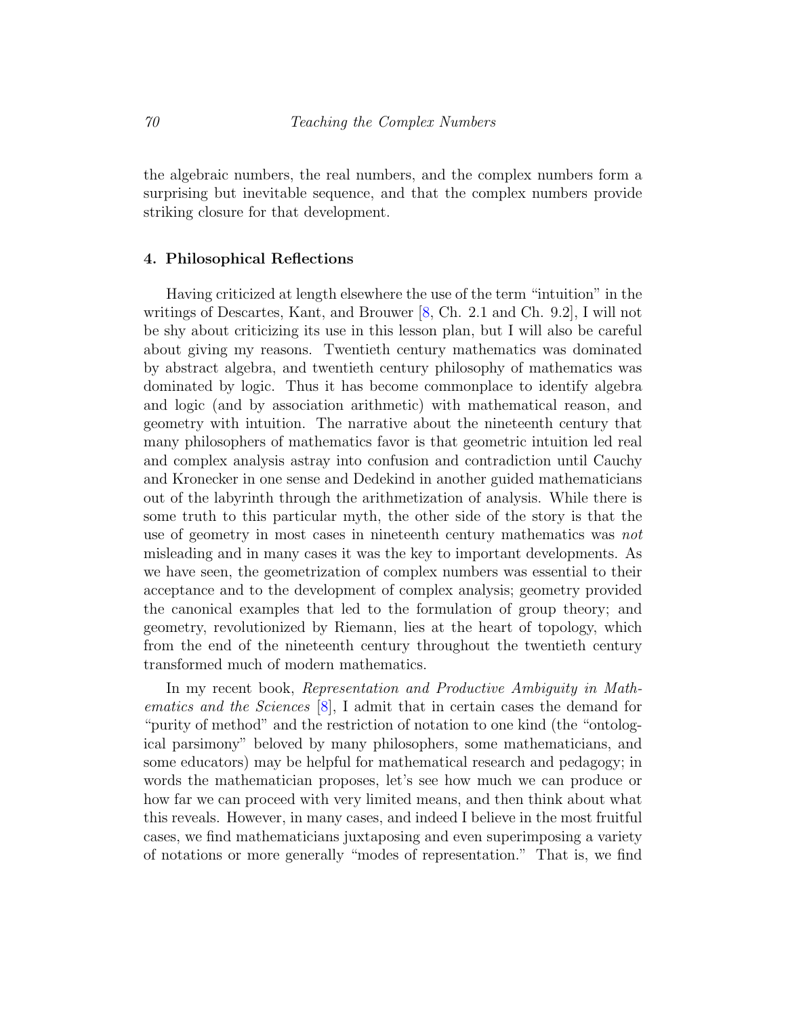the algebraic numbers, the real numbers, and the complex numbers form a surprising but inevitable sequence, and that the complex numbers provide striking closure for that development.

#### 4. Philosophical Reflections

Having criticized at length elsewhere the use of the term "intuition" in the writings of Descartes, Kant, and Brouwer [\[8,](#page-11-1) Ch. 2.1 and Ch. 9.2], I will not be shy about criticizing its use in this lesson plan, but I will also be careful about giving my reasons. Twentieth century mathematics was dominated by abstract algebra, and twentieth century philosophy of mathematics was dominated by logic. Thus it has become commonplace to identify algebra and logic (and by association arithmetic) with mathematical reason, and geometry with intuition. The narrative about the nineteenth century that many philosophers of mathematics favor is that geometric intuition led real and complex analysis astray into confusion and contradiction until Cauchy and Kronecker in one sense and Dedekind in another guided mathematicians out of the labyrinth through the arithmetization of analysis. While there is some truth to this particular myth, the other side of the story is that the use of geometry in most cases in nineteenth century mathematics was not misleading and in many cases it was the key to important developments. As we have seen, the geometrization of complex numbers was essential to their acceptance and to the development of complex analysis; geometry provided the canonical examples that led to the formulation of group theory; and geometry, revolutionized by Riemann, lies at the heart of topology, which from the end of the nineteenth century throughout the twentieth century transformed much of modern mathematics.

In my recent book, Representation and Productive Ambiguity in Mathematics and the Sciences [\[8\]](#page-11-1), I admit that in certain cases the demand for "purity of method" and the restriction of notation to one kind (the "ontological parsimony" beloved by many philosophers, some mathematicians, and some educators) may be helpful for mathematical research and pedagogy; in words the mathematician proposes, let's see how much we can produce or how far we can proceed with very limited means, and then think about what this reveals. However, in many cases, and indeed I believe in the most fruitful cases, we find mathematicians juxtaposing and even superimposing a variety of notations or more generally "modes of representation." That is, we find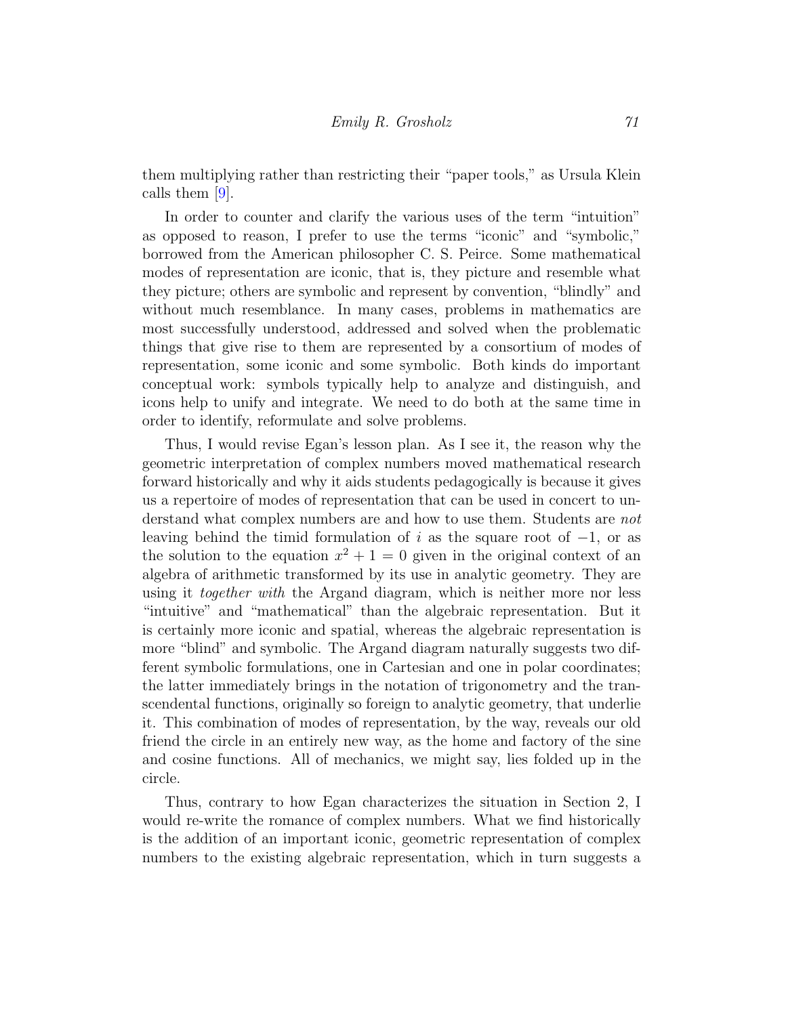them multiplying rather than restricting their "paper tools," as Ursula Klein calls them [\[9\]](#page-12-5).

In order to counter and clarify the various uses of the term "intuition" as opposed to reason, I prefer to use the terms "iconic" and "symbolic," borrowed from the American philosopher C. S. Peirce. Some mathematical modes of representation are iconic, that is, they picture and resemble what they picture; others are symbolic and represent by convention, "blindly" and without much resemblance. In many cases, problems in mathematics are most successfully understood, addressed and solved when the problematic things that give rise to them are represented by a consortium of modes of representation, some iconic and some symbolic. Both kinds do important conceptual work: symbols typically help to analyze and distinguish, and icons help to unify and integrate. We need to do both at the same time in order to identify, reformulate and solve problems.

Thus, I would revise Egan's lesson plan. As I see it, the reason why the geometric interpretation of complex numbers moved mathematical research forward historically and why it aids students pedagogically is because it gives us a repertoire of modes of representation that can be used in concert to understand what complex numbers are and how to use them. Students are not leaving behind the timid formulation of i as the square root of  $-1$ , or as the solution to the equation  $x^2 + 1 = 0$  given in the original context of an algebra of arithmetic transformed by its use in analytic geometry. They are using it *together with* the Argand diagram, which is neither more nor less "intuitive" and "mathematical" than the algebraic representation. But it is certainly more iconic and spatial, whereas the algebraic representation is more "blind" and symbolic. The Argand diagram naturally suggests two different symbolic formulations, one in Cartesian and one in polar coordinates; the latter immediately brings in the notation of trigonometry and the transcendental functions, originally so foreign to analytic geometry, that underlie it. This combination of modes of representation, by the way, reveals our old friend the circle in an entirely new way, as the home and factory of the sine and cosine functions. All of mechanics, we might say, lies folded up in the circle.

Thus, contrary to how Egan characterizes the situation in Section 2, I would re-write the romance of complex numbers. What we find historically is the addition of an important iconic, geometric representation of complex numbers to the existing algebraic representation, which in turn suggests a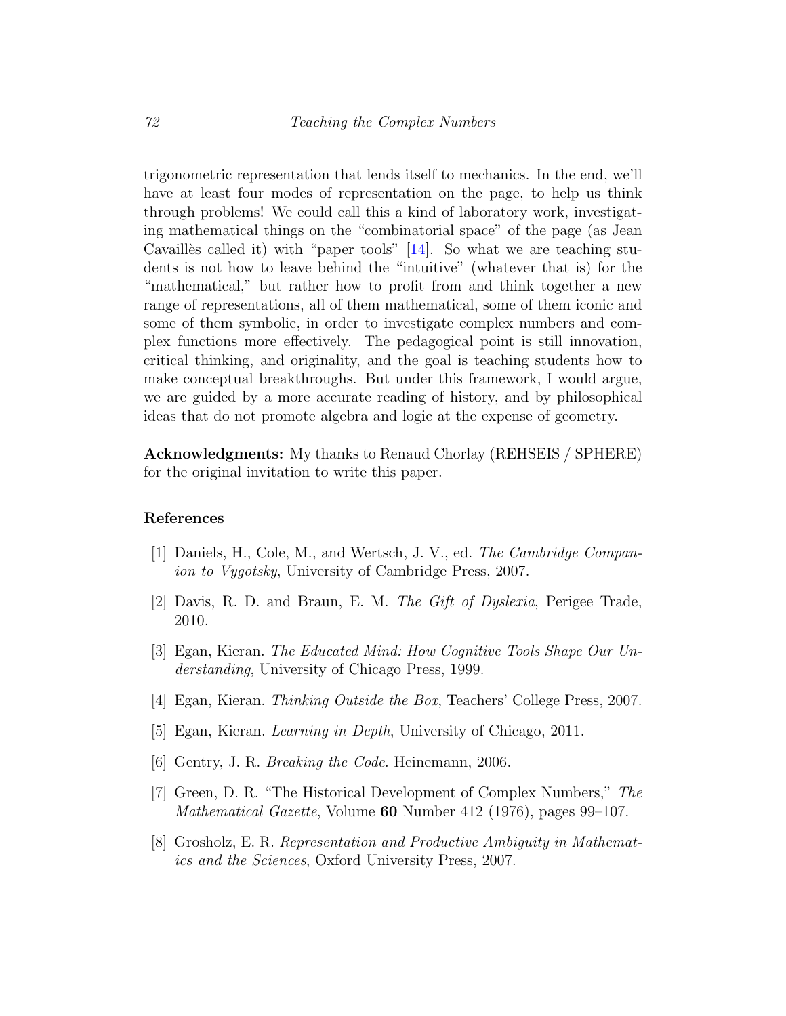trigonometric representation that lends itself to mechanics. In the end, we'll have at least four modes of representation on the page, to help us think through problems! We could call this a kind of laboratory work, investigating mathematical things on the "combinatorial space" of the page (as Jean Cavailles called it) with "paper tools"  $[14]$ . So what we are teaching students is not how to leave behind the "intuitive" (whatever that is) for the "mathematical," but rather how to profit from and think together a new range of representations, all of them mathematical, some of them iconic and some of them symbolic, in order to investigate complex numbers and complex functions more effectively. The pedagogical point is still innovation, critical thinking, and originality, and the goal is teaching students how to make conceptual breakthroughs. But under this framework, I would argue, we are guided by a more accurate reading of history, and by philosophical ideas that do not promote algebra and logic at the expense of geometry.

Acknowledgments: My thanks to Renaud Chorlay (REHSEIS / SPHERE) for the original invitation to write this paper.

## References

- <span id="page-11-5"></span>[1] Daniels, H., Cole, M., and Wertsch, J. V., ed. The Cambridge Companion to Vygotsky, University of Cambridge Press, 2007.
- <span id="page-11-6"></span>[2] Davis, R. D. and Braun, E. M. The Gift of Dyslexia, Perigee Trade, 2010.
- <span id="page-11-2"></span>[3] Egan, Kieran. The Educated Mind: How Cognitive Tools Shape Our Understanding, University of Chicago Press, 1999.
- <span id="page-11-3"></span>[4] Egan, Kieran. Thinking Outside the Box, Teachers' College Press, 2007.
- <span id="page-11-4"></span>[5] Egan, Kieran. Learning in Depth, University of Chicago, 2011.
- <span id="page-11-7"></span>[6] Gentry, J. R. Breaking the Code. Heinemann, 2006.
- <span id="page-11-0"></span>[7] Green, D. R. "The Historical Development of Complex Numbers," The Mathematical Gazette, Volume 60 Number 412 (1976), pages 99–107.
- <span id="page-11-1"></span>[8] Grosholz, E. R. Representation and Productive Ambiguity in Mathematics and the Sciences, Oxford University Press, 2007.